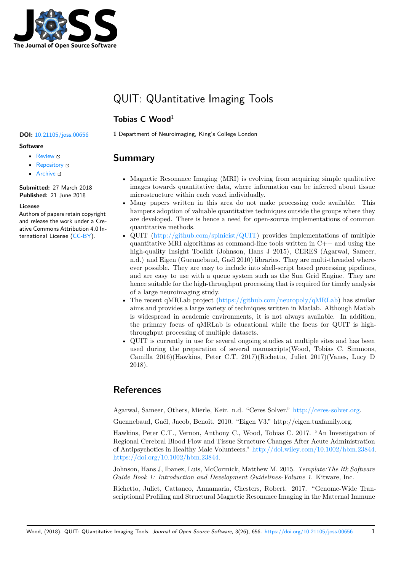

# QUIT: QUantitative Imaging Tools

## **Tobias C Wood**<sup>1</sup>

### **Software**

- Review &
- [Repository](https://doi.org/10.21105/joss.00656) &
- Archive L'

**Subm[itted:](https://github.com/openjournals/joss-reviews/issues/656)** 27 March 2018 **Published:** [21 Ju](https://github.com/spinicist/QUIT)ne 2018

#### **Licen[se](http://dx.doi.org/10.5281/zenodo.1292086)**

Authors of papers retain copyright and release the work under a Creative Commons Attribution 4.0 International License (CC-BY).

**DOI:** 10.21105/joss.00656 **1** Department of Neuroimaging, King's College London

# **Summary**

- Magnetic Resonance Imaging (MRI) is evolving from acquiring simple qualitative images towards quantitative data, where information can be inferred about tissue microstructure within each voxel individually.
- Many papers written in this area do not make processing code available. This hampers adoption of valuable quantitative techniques outside the groups where they are developed. There is hence a need for open-source implementations of common quantitative methods.
- QUIT (http://github.com/spinicist/QUIT) provides implementations of multiple quantitative MRI algorithms as command-line tools written in  $C++$  and using the high-quality Insight Toolkit (Johnson, Hans J 2015), CERES (Agarwal, Sameer, n.d.) and Eigen (Guennebaud, Gaël 2010) libraries. They are multi-threaded whereever po[ssible. They are easy to include int](http://github.com/spinicist/QUIT)o shell-script based processing pipelines, and are easy to use with a queue system such as the Sun Grid Engine. They are hence suitable for the high-throughput processing that is required for timely analysis of a large neuroimaging study.
- The recent qMRLab project (https://github.com/neuropoly/qMRLab) has similar aims and provides a large variety of techniques written in Matlab. Although Matlab is widespread in academic environments, it is not always available. In addition, the primary focus of qMRLab is educational while the focus for QUIT is highthroughput processing of mul[tiple datasets.](https://github.com/neuropoly/qMRLab)
- QUIT is currently in use for several ongoing studies at multiple sites and has been used during the preparation of several manuscripts(Wood, Tobias C. Simmons, Camilla 2016)(Hawkins, Peter C.T. 2017)(Richetto, Juliet 2017)(Vanes, Lucy D 2018).

# **References**

Agarwal, Sameer, Others, Mierle, Keir. n.d. "Ceres Solver." http://ceres-solver.org.

Guennebaud, Gaël, Jacob, Benoît. 2010. "Eigen V3." http://eigen.tuxfamily.org.

Hawkins, Peter C.T., Vernon, Anthony C., Wood, Tobias C. 2017. "An Investigation of Regional Cerebral Blood Flow and Tissue Structure Changes [After Acute Administr](http://ceres-solver.org)ation of Antipsychotics in Healthy Male Volunteers." http://doi.wiley.com/10.1002/hbm.23844. https://doi.org/10.1002/hbm.23844.

Johnson, Hans J, Ibanez, Luis, McCormick, Matthew M. 2015. *Template:The Itk Software Guide Book 1: Introduction and Development Guidelines-Volume 1*. Kitware, Inc.

[Richetto, Juliet, Cattaneo, Annama](https://doi.org/10.1002/hbm.23844)ria, Chest[ers, Robert. 2017. "Genome-Wide Tran](http://doi.wiley.com/10.1002/hbm.23844)scriptional Profiling and Structural Magnetic Resonance Imaging in the Maternal Immune